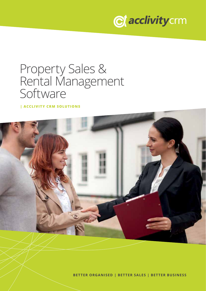

## Property Sales & Rental Management Software

**| ACCLIVITY CRM SOLUTIONS**



**BETTER ORGANISED | BETTER SALES | BETTER BUSINESS**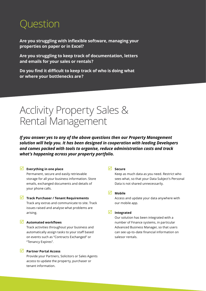### Question

**Are you struggling with inflexible software, managing your properties on paper or in Excel?**

**Are you struggling to keep track of documentation, letters and emails for your sales or rentals ?**

**Do you find it difficult to keep track of who is doing what or where your bottlenecks are ?**

### Acclivity Property Sales & Rental Management

*If you answer yes to any of the above questions then our Property Management solution will help you. It has been designed in cooperation with leading Developers and comes packed with tools to organise, reduce administration costs and track what's happening across your property portfolio.*

#### **Everything in one place**

Permanent, secure and easily retrievable storage for all your business information. Store emails, exchanged documents and details of your phone calls.

#### **Track Purchaser / Tenant Requirements**

Track any extras and communicate to site. Track issues raised and analyse what problems are arising.

#### **Automated workflows**

Track activities throughout your business and automatically assign tasks to your staff based on events such as "Contracts Exchanged" or "Tenancy Expires".

#### **Partner Portal Access**

Provide your Partners, Solicitors or Sales Agents access to update the property, purchaser or tenant information.

#### **Secure**

Keep as much data as you need. Restrict who sees what, so that your Data Subject's Personal Data is not shared unnecessarily.

#### **Mobile**

Access and update your data anywhere with our mobile app.

#### **Integrated**

Our solution has been integrated with a number of Finance systems, in particular Advanced Business Manager, so that users can see up-to-date financial information on salesor rentals.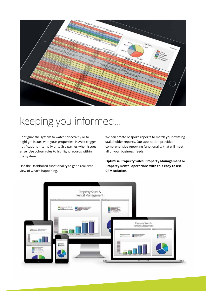

# keeping you informed...

Configure the system to watch for activity or to highlight issues with your properties. Have it trigger notifications internally or to 3rd parties when issues arise. Use colour rules to highlight records within the system.

Use the Dashboard functionality to get a real-time view of what's happening.

We can create bespoke reports to match your existing stakeholder reports. Our application provides comprehensive reporting functionality that will meet all of your business needs.

**Optimise Property Sales, Property Management or Property Rental operations with this easy to use CRM solution.**